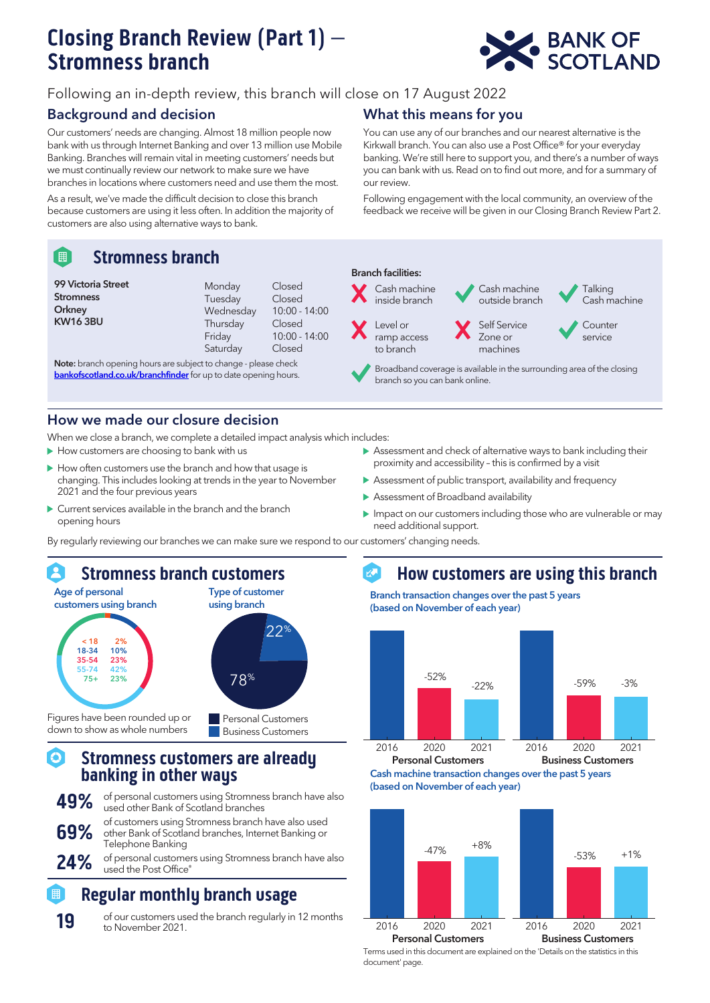# Closing Branch Review (Part 1) – Stromness branch



## Following an in-depth review, this branch will close on 17 August 2022

## Background and decision

Our customers' needs are changing. Almost 18 million people now bank with us through Internet Banking and over 13 million use Mobile Banking. Branches will remain vital in meeting customers' needs but we must continually review our network to make sure we have branches in locations where customers need and use them the most.

As a result, we've made the difficult decision to close this branch because customers are using it less often. In addition the majority of customers are also using alternative ways to bank.

#### Stromness branch 「開

| Monday    | Closed          |
|-----------|-----------------|
| Tuesday   | Closed          |
| Wednesday | $10:00 - 14:00$ |
| Thursday  | Closed          |
| Friday    | $10:00 - 14:00$ |
| Saturday  | Closed          |
|           |                 |

Note: branch opening hours are subject to change - please check

### How we made our closure decision

When we close a branch, we complete a detailed impact analysis which includes:

- $\blacktriangleright$  How customers are choosing to bank with us
- $\blacktriangleright$  How often customers use the branch and how that usage is changing. This includes looking at trends in the year to November 2021 and the four previous years
- Current services available in the branch and the branch opening hours

## What this means for you

You can use any of our branches and our nearest alternative is the Kirkwall branch. You can also use a Post Office® for your everyday banking. We're still here to support you, and there's a number of ways you can bank with us. Read on to find out more, and for a summary of our review.

Following engagement with the local community, an overview of the feedback we receive will be given in our Closing Branch Review Part 2.



- Note: branch opening nours are subject to change piease check<br>**[bankofscotland.co.uk/branchfinder](https://branches.bankofscotland.co.uk/search)** for up to date opening hours. branch so you can bank online.
	- Assessment and check of alternative ways to bank including their proximity and accessibility – this is confirmed by a visit
	- Assessment of public transport, availability and frequency
	- Assessment of Broadband availability
	- Impact on our customers including those who are vulnerable or may need additional support.

By regularly reviewing our branches we can make sure we respond to our customers' changing needs.



Figures have been rounded up or down to show as whole numbers



#### Stromness customers are already စ banking in other ways

- 49% of personal customers using Stromness branch have also used other Bank of Scotland branches of customers using Stromness branch have also used<br>**69%** other Bank of Scotland branches, Internet Banking or Telephone Banking
- 24% of personal customers using Stromness branch have also used the Post Office®

## Regular monthly branch usage

19 of our customers used the branch regularly in 12 months to November 2021.

#### $\mathbb{R}^3$ How customers are using this branch

Branch transaction changes over the past 5 years (based on November of each year)







Terms used in this document are explained on the 'Details on the statistics in this document' page.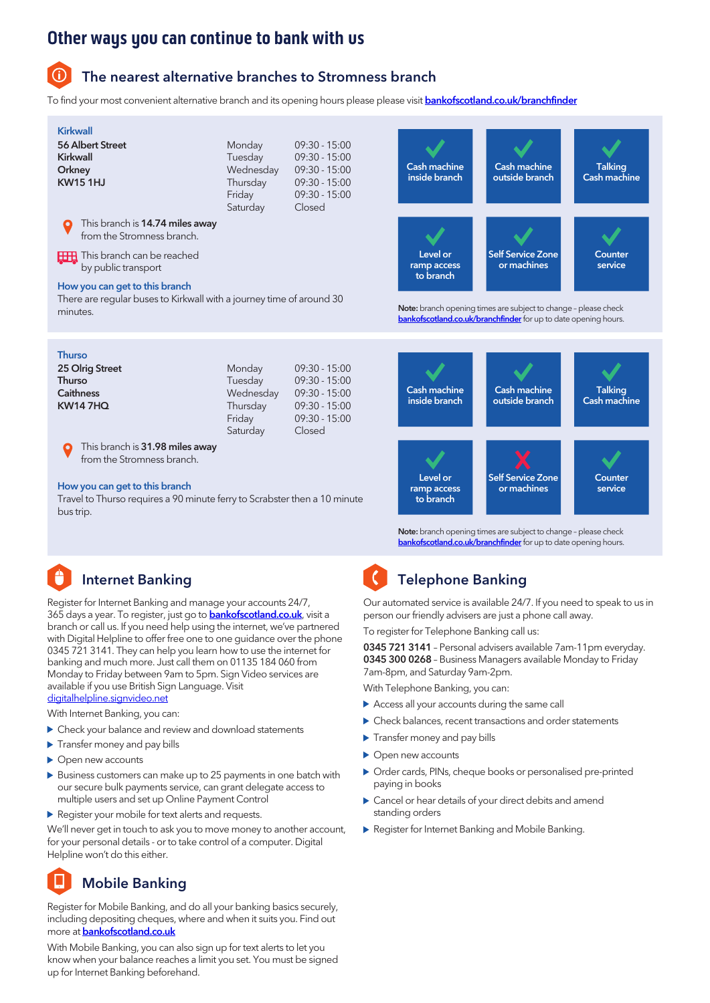## Other ways you can continue to bank with us

The nearest alternative branches to Stromness branch

To find your most convenient alternative branch and its opening hours please please visit [bankofscotland.co.uk/branchfinder](https://branches.bankofscotland.co.uk/search)

| <b>Kirkwall</b><br><b>56 Albert Street</b><br>Kirkwall<br>Orkney<br><b>KW151HJ</b>                                                                                                                                                                                                                                                                                                                         | Monday<br>Tuesday<br>Wednesday<br>Thursday<br>Friday<br>Saturday | $09:30 - 15:00$<br>$09:30 - 15:00$<br>$09:30 - 15:00$<br>09:30 - 15:00<br>$09:30 - 15:00$<br>Closed | <b>Cash machine</b><br>inside branch                                   | <b>Cash machine</b><br>outside branch                                                                                                                                                                | <b>Talking</b><br><b>Cash machine</b> |
|------------------------------------------------------------------------------------------------------------------------------------------------------------------------------------------------------------------------------------------------------------------------------------------------------------------------------------------------------------------------------------------------------------|------------------------------------------------------------------|-----------------------------------------------------------------------------------------------------|------------------------------------------------------------------------|------------------------------------------------------------------------------------------------------------------------------------------------------------------------------------------------------|---------------------------------------|
| This branch is 14.74 miles away<br>from the Stromness branch.<br><b>HH</b> This branch can be reached<br>by public transport<br>How you can get to this branch<br>There are regular buses to Kirkwall with a journey time of around 30<br>minutes.                                                                                                                                                         |                                                                  |                                                                                                     | Level or<br>ramp access<br>to branch                                   | <b>Self Service Zone</b><br>or machines<br>Note: branch opening times are subject to change - please check<br>bankofscotland.co.uk/branchfinder for up to date opening hours.                        | Counter<br>service                    |
| <b>Thurso</b><br>25 Olrig Street<br>Thurso<br><b>Caithness</b><br><b>KW147HQ</b>                                                                                                                                                                                                                                                                                                                           | Monday<br>Tuesday<br>Wednesday<br>Thursday<br>Friday<br>Saturday | 09:30 - 15:00<br>$09:30 - 15:00$<br>$09:30 - 15:00$<br>09:30 - 15:00<br>09:30 - 15:00<br>Closed     | <b>Cash machine</b><br>inside branch                                   | <b>Cash machine</b><br>outside branch                                                                                                                                                                | <b>Talking</b><br><b>Cash machine</b> |
| This branch is 31.98 miles away<br>from the Stromness branch.<br>How you can get to this branch<br>Travel to Thurso requires a 90 minute ferry to Scrabster then a 10 minute<br>bus trip.                                                                                                                                                                                                                  |                                                                  |                                                                                                     | Level or<br>ramp access<br>to branch                                   | <b>Self Service Zone</b><br>or machines<br>Note: branch opening times are subject to change - please check<br>bankofscotland.co.uk/branchfinder for up to date opening hours.                        | Counter<br>service                    |
| <b>Internet Banking</b><br>Register for Internet Banking and manage your accounts 24/7,<br>365 days a year. To register, just go to <mark>bankofscotland.co.uk</mark> , visit a<br>branch or call us. If you need help using the internet, we've partnered<br>with Digital Helpline to offer free one to one guidance over the phone<br>0345 721 3141. They can help you learn how to use the internet for |                                                                  |                                                                                                     | <b>Telephone Banking</b><br>To register for Telephone Banking call us: | Our automated service is available 24/7. If you need to speak to us in<br>person our friendly advisers are just a phone call away.<br>0345 721 3141 - Personal advisers available 7am-11pm everyday. |                                       |

banking and much more. Just call them on 01135 184 060 from Monday to Friday between 9am to 5pm. Sign Video services are available if you use British Sign Language. Visit

### [digitalhelpline.signvideo.net](https://signvideo.co.uk/sign-directory/)

With Internet Banking, you can:

- Check your balance and review and download statements
- **Transfer money and pay bills**
- ▶ Open new accounts
- Business customers can make up to 25 payments in one batch with our secure bulk payments service, can grant delegate access to multiple users and set up Online Payment Control
- Register your mobile for text alerts and requests.

We'll never get in touch to ask you to move money to another account, for your personal details - or to take control of a computer. Digital Helpline won't do this either.

# Mobile Banking

Register for Mobile Banking, and do all your banking basics securely, including depositing cheques, where and when it suits you. Find out more at **bankofscotland.co.uk** 

With Mobile Banking, you can also sign up for text alerts to let you know when your balance reaches a limit you set. You must be signed up for Internet Banking beforehand.

0345 300 0268 – Business Managers available Monday to Friday 7am-8pm, and Saturday 9am-2pm.

With Telephone Banking, you can:

- Access all your accounts during the same call
- Check balances, recent transactions and order statements
- **Transfer money and pay bills**
- ▶ Open new accounts
- Order cards, PINs, cheque books or personalised pre-printed paying in books
- Cancel or hear details of your direct debits and amend standing orders
- Register for Internet Banking and Mobile Banking.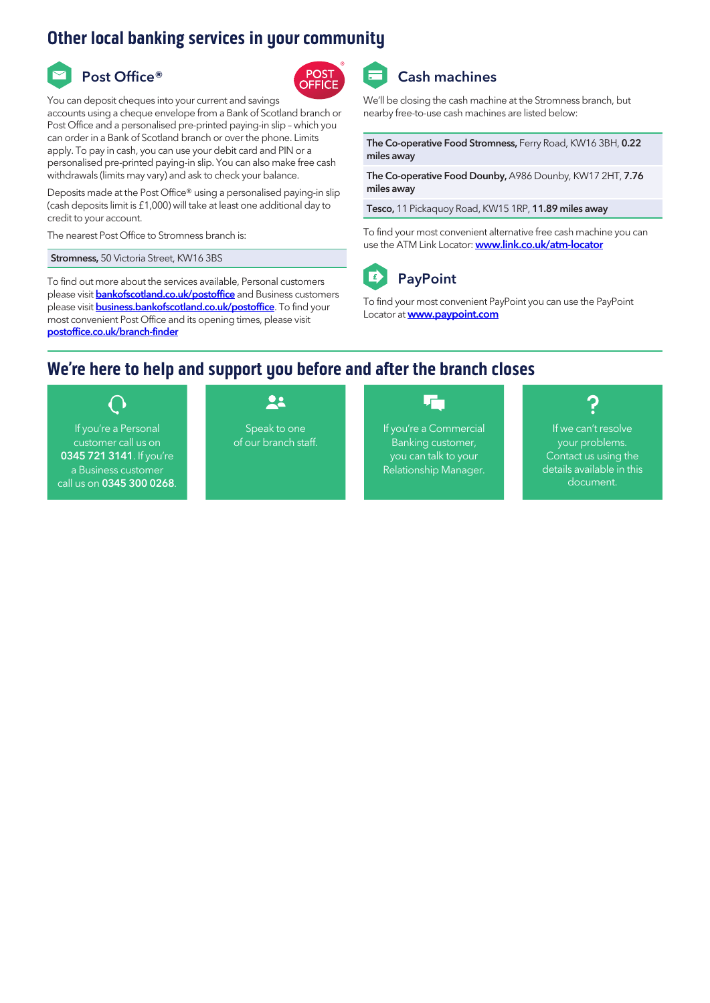## Other local banking services in your community

# Post Office®



You can deposit cheques into your current and savings

accounts using a cheque envelope from a Bank of Scotland branch or Post Office and a personalised pre-printed paying-in slip – which you can order in a Bank of Scotland branch or over the phone. Limits apply. To pay in cash, you can use your debit card and PIN or a personalised pre-printed paying-in slip. You can also make free cash withdrawals (limits may vary) and ask to check your balance.

Deposits made at the Post Office® using a personalised paying-in slip (cash deposits limit is £1,000) will take at least one additional day to credit to your account.

The nearest Post Office to Stromness branch is:

Stromness, 50 Victoria Street, KW16 3BS

To find out more about the services available, Personal customers please visit **bankofscotland.co.uk/postoffice** and Business customers please visit **business.bankofscotland.co.uk/postoffice**. To find your most convenient Post Office and its opening times, please visit [postoffice.co.uk/branch-finder](https://www.postoffice.co.uk/branch-finder)



We'll be closing the cash machine at the Stromness branch, but nearby free-to-use cash machines are listed below:

The Co-operative Food Stromness, Ferry Road, KW16 3BH, 0.22 miles away

The Co-operative Food Dounby, A986 Dounby, KW17 2HT, 7.76 miles away

Tesco, 11 Pickaquoy Road, KW15 1RP, 11.89 miles away

To find your most convenient alternative free cash machine you can use the ATM Link Locator: **[www.link.co.uk/atm-locator](https://www.link.co.uk/consumers/locator/)** 



PayPoint

To find your most convenient PayPoint you can use the PayPoint Locator at **[www.paypoint.com](https://www.paypoint.com/)** 

## We're here to help and support you before and after the branch closes

If you're a Personal customer call us on 0345 721 3141. If you're a Business customer call us on 0345 300 0268.

## 22

Speak to one of our branch staff.

## 叶

If you're a Commercial Banking customer, you can talk to your Relationship Manager.



If we can't resolve your problems. Contact us using the details available in this document.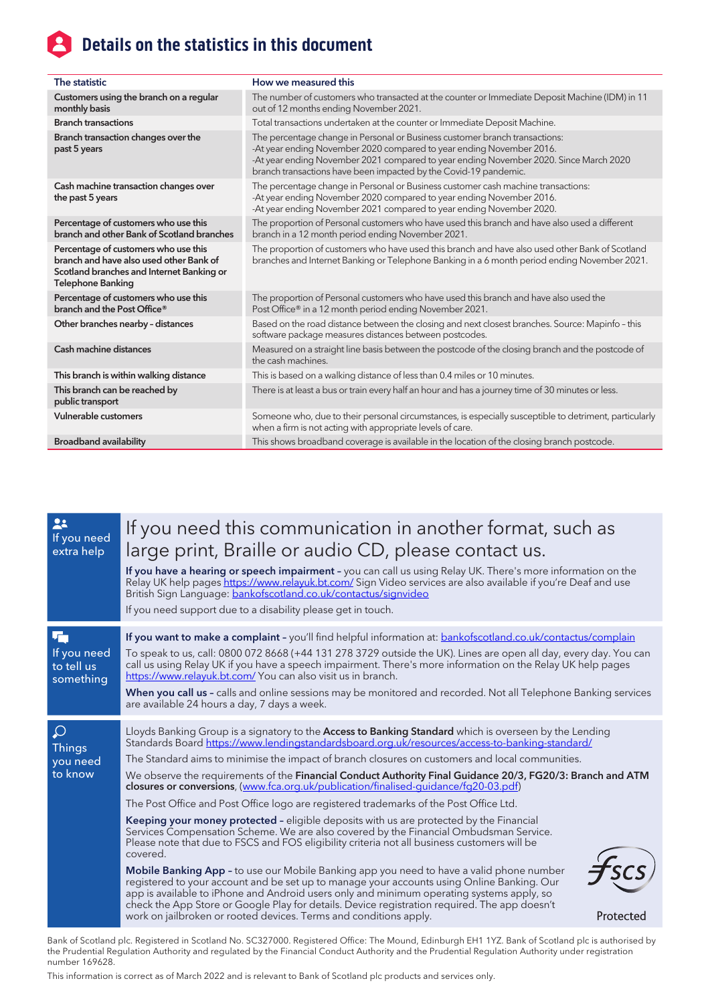# **A** Details on the statistics in this document

| The statistic                                                                                                                                            | How we measured this                                                                                                                                                                                                                                                                                             |
|----------------------------------------------------------------------------------------------------------------------------------------------------------|------------------------------------------------------------------------------------------------------------------------------------------------------------------------------------------------------------------------------------------------------------------------------------------------------------------|
| Customers using the branch on a regular<br>monthly basis                                                                                                 | The number of customers who transacted at the counter or Immediate Deposit Machine (IDM) in 11<br>out of 12 months ending November 2021.                                                                                                                                                                         |
| <b>Branch transactions</b>                                                                                                                               | Total transactions undertaken at the counter or Immediate Deposit Machine.                                                                                                                                                                                                                                       |
| Branch transaction changes over the<br>past 5 years                                                                                                      | The percentage change in Personal or Business customer branch transactions:<br>-At year ending November 2020 compared to year ending November 2016.<br>-At year ending November 2021 compared to year ending November 2020. Since March 2020<br>branch transactions have been impacted by the Covid-19 pandemic. |
| Cash machine transaction changes over<br>the past 5 years                                                                                                | The percentage change in Personal or Business customer cash machine transactions:<br>-At year ending November 2020 compared to year ending November 2016.<br>-At year ending November 2021 compared to year ending November 2020.                                                                                |
| Percentage of customers who use this<br>branch and other Bank of Scotland branches                                                                       | The proportion of Personal customers who have used this branch and have also used a different<br>branch in a 12 month period ending November 2021.                                                                                                                                                               |
| Percentage of customers who use this<br>branch and have also used other Bank of<br>Scotland branches and Internet Banking or<br><b>Telephone Banking</b> | The proportion of customers who have used this branch and have also used other Bank of Scotland<br>branches and Internet Banking or Telephone Banking in a 6 month period ending November 2021.                                                                                                                  |
| Percentage of customers who use this<br>branch and the Post Office <sup>®</sup>                                                                          | The proportion of Personal customers who have used this branch and have also used the<br>Post Office® in a 12 month period ending November 2021.                                                                                                                                                                 |
| Other branches nearby - distances                                                                                                                        | Based on the road distance between the closing and next closest branches. Source: Mapinfo - this<br>software package measures distances between postcodes.                                                                                                                                                       |
| Cash machine distances                                                                                                                                   | Measured on a straight line basis between the postcode of the closing branch and the postcode of<br>the cash machines.                                                                                                                                                                                           |
| This branch is within walking distance                                                                                                                   | This is based on a walking distance of less than 0.4 miles or 10 minutes.                                                                                                                                                                                                                                        |
| This branch can be reached by<br>public transport                                                                                                        | There is at least a bus or train every half an hour and has a journey time of 30 minutes or less.                                                                                                                                                                                                                |
| Vulnerable customers                                                                                                                                     | Someone who, due to their personal circumstances, is especially susceptible to detriment, particularly<br>when a firm is not acting with appropriate levels of care.                                                                                                                                             |
| <b>Broadband availability</b>                                                                                                                            | This shows broadband coverage is available in the location of the closing branch postcode.                                                                                                                                                                                                                       |

| 22<br>If you need<br>extra help                       | If you need this communication in another format, such as<br>large print, Braille or audio CD, please contact us.<br>If you have a hearing or speech impairment - you can call us using Relay UK. There's more information on the<br>Relay UK help pages https://www.relayuk.bt.com/ Sign Video services are also available if you're Deaf and use<br>British Sign Language: bankofscotland.co.uk/contactus/signvideo<br>If you need support due to a disability please get in touch.                                                                                                                                                                                                                                                                                                                                                                                                                                                                                                                                                                                                                                                                                                                                                                                                                                                                                                        |
|-------------------------------------------------------|----------------------------------------------------------------------------------------------------------------------------------------------------------------------------------------------------------------------------------------------------------------------------------------------------------------------------------------------------------------------------------------------------------------------------------------------------------------------------------------------------------------------------------------------------------------------------------------------------------------------------------------------------------------------------------------------------------------------------------------------------------------------------------------------------------------------------------------------------------------------------------------------------------------------------------------------------------------------------------------------------------------------------------------------------------------------------------------------------------------------------------------------------------------------------------------------------------------------------------------------------------------------------------------------------------------------------------------------------------------------------------------------|
| 石<br>If you need<br>to tell us<br>something           | If you want to make a complaint - you'll find helpful information at: bankofscotland.co.uk/contactus/complain<br>To speak to us, call: 0800 072 8668 (+44 131 278 3729 outside the UK). Lines are open all day, every day. You can<br>call us using Relay UK if you have a speech impairment. There's more information on the Relay UK help pages<br>https://www.relayuk.bt.com/You can also visit us in branch.<br>When you call us - calls and online sessions may be monitored and recorded. Not all Telephone Banking services<br>are available 24 hours a day, 7 days a week.                                                                                                                                                                                                                                                                                                                                                                                                                                                                                                                                                                                                                                                                                                                                                                                                           |
| $\mathcal{Q}$<br><b>Things</b><br>you need<br>to know | Lloyds Banking Group is a signatory to the Access to Banking Standard which is overseen by the Lending<br>Standards Board https://www.lendingstandardsboard.org.uk/resources/access-to-banking-standard/<br>The Standard aims to minimise the impact of branch closures on customers and local communities.<br>We observe the requirements of the Financial Conduct Authority Final Guidance 20/3, FG20/3: Branch and ATM<br>closures or conversions, (www.fca.org.uk/publication/finalised-quidance/fq20-03.pdf)<br>The Post Office and Post Office logo are registered trademarks of the Post Office Ltd.<br>Keeping your money protected - eligible deposits with us are protected by the Financial<br>Services Compensation Scheme. We are also covered by the Financial Ombudsman Service.<br>Please note that due to FSCS and FOS eligibility criteria not all business customers will be<br>covered.<br><b>Mobile Banking App</b> - to use our Mobile Banking app you need to have a valid phone number<br>registered to your account and be set up to manage your accounts using Online Banking. Our<br>app is available to iPhone and Android users only and minimum operating systems apply, so<br>check the App Store or Google Play for details. Device registration required. The app doesn't<br>work on jailbroken or rooted devices. Terms and conditions apply.<br>Protected |

Bank of Scotland plc. Registered in Scotland No. SC327000. Registered Office: The Mound, Edinburgh EH1 1YZ. Bank of Scotland plc is authorised by the Prudential Regulation Authority and regulated by the Financial Conduct Authority and the Prudential Regulation Authority under registration number 169628.

This information is correct as of March 2022 and is relevant to Bank of Scotland plc products and services only.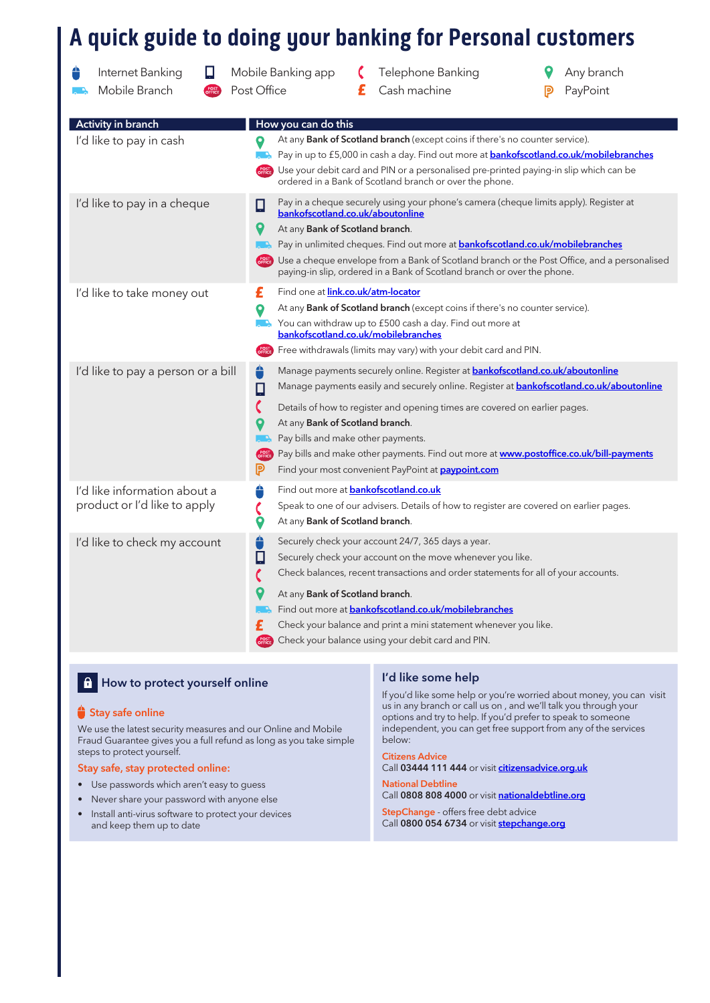# A quick guide to doing your banking for Personal customers

| Internet Banking<br>Ц<br>Mobile Branch                       | Mobile Banking app<br>Post Office                                          | Telephone Banking<br>Cash machine<br>£                                                                                                                                                                                                                                                                                                                                                                                                                                    | Any branch<br>PayPoint |
|--------------------------------------------------------------|----------------------------------------------------------------------------|---------------------------------------------------------------------------------------------------------------------------------------------------------------------------------------------------------------------------------------------------------------------------------------------------------------------------------------------------------------------------------------------------------------------------------------------------------------------------|------------------------|
| Activity in branch                                           | How you can do this                                                        |                                                                                                                                                                                                                                                                                                                                                                                                                                                                           |                        |
| I'd like to pay in cash                                      | Ο                                                                          | At any <b>Bank of Scotland branch</b> (except coins if there's no counter service).<br>. A Pay in up to £5,000 in cash a day. Find out more at <b>bankofscotland.co.uk/mobilebranches</b><br>Use your debit card and PIN or a personalised pre-printed paying-in slip which can be<br>ordered in a Bank of Scotland branch or over the phone.                                                                                                                             |                        |
| I'd like to pay in a cheque                                  | Ω<br>9<br>At any Bank of Scotland branch.<br>L. L.                         | Pay in a cheque securely using your phone's camera (cheque limits apply). Register at<br>bankofscotland.co.uk/aboutonline<br>Pay in unlimited cheques. Find out more at <b>bankofscotland.co.uk/mobilebranches</b><br>Use a cheque envelope from a Bank of Scotland branch or the Post Office, and a personalised<br>paying-in slip, ordered in a Bank of Scotland branch or over the phone.                                                                              |                        |
| I'd like to take money out                                   | £<br>О<br>POST<br>OFFICE                                                   | Find one at <b>link.co.uk/atm-locator</b><br>At any Bank of Scotland branch (except coins if there's no counter service).<br><b>.</b> You can withdraw up to £500 cash a day. Find out more at<br>bankofscotland.co.uk/mobilebranches<br>Free withdrawals (limits may vary) with your debit card and PIN.                                                                                                                                                                 |                        |
| I'd like to pay a person or a bill                           | €<br>$\Box$<br>C<br>At any Bank of Scotland branch.<br>POST<br>OFFICI<br>ℙ | Manage payments securely online. Register at <b>bankofscotland.co.uk/aboutonline</b><br>Manage payments easily and securely online. Register at <b>bankofscotland.co.uk/aboutonline</b><br>Details of how to register and opening times are covered on earlier pages.<br>Pay bills and make other payments.<br>Pay bills and make other payments. Find out more at <b>www.postoffice.co.uk/bill-payments</b><br>Find your most convenient PayPoint at <b>paypoint.com</b> |                        |
| I'd like information about a<br>product or I'd like to apply | ≙<br>9<br>At any Bank of Scotland branch.                                  | Find out more at <b>bankofscotland.co.uk</b><br>Speak to one of our advisers. Details of how to register are covered on earlier pages.                                                                                                                                                                                                                                                                                                                                    |                        |
| I'd like to check my account                                 | ê<br>Π<br>C<br>At any Bank of Scotland branch.                             | Securely check your account 24/7, 365 days a year.<br>Securely check your account on the move whenever you like.<br>Check balances, recent transactions and order statements for all of your accounts.<br>Find out more at <b>bankofscotland.co.uk/mobilebranches</b><br>Check your balance and print a mini statement whenever you like.<br>Check your balance using your debit card and PIN.                                                                            |                        |

## **A** How to protect yourself online I are It is a like some help

#### Stay safe online

We use the latest security measures and our Online and Mobile Fraud Guarantee gives you a full refund as long as you take simple steps to protect yourself.

#### Stay safe, stay protected online:

- Use passwords which aren't easy to guess
- Never share your password with anyone else
- Install anti-virus software to protect your devices and keep them up to date

If you'd like some help or you're worried about money, you can visit us in any branch or call us on , and we'll talk you through your options and try to help. If you'd prefer to speak to someone independent, you can get free support from any of the services below:

#### Citizens Advice Call 03444 111 444 or visit [citizensadvice.org.uk](https://www.citizensadvice.org.uk/)

National Debtline Call 0808 808 4000 or visit [nationaldebtline.org](https://www.nationaldebtline.org/)

StepChange - offers free debt advice Call 0800 054 6734 or visit **stepchange.org**